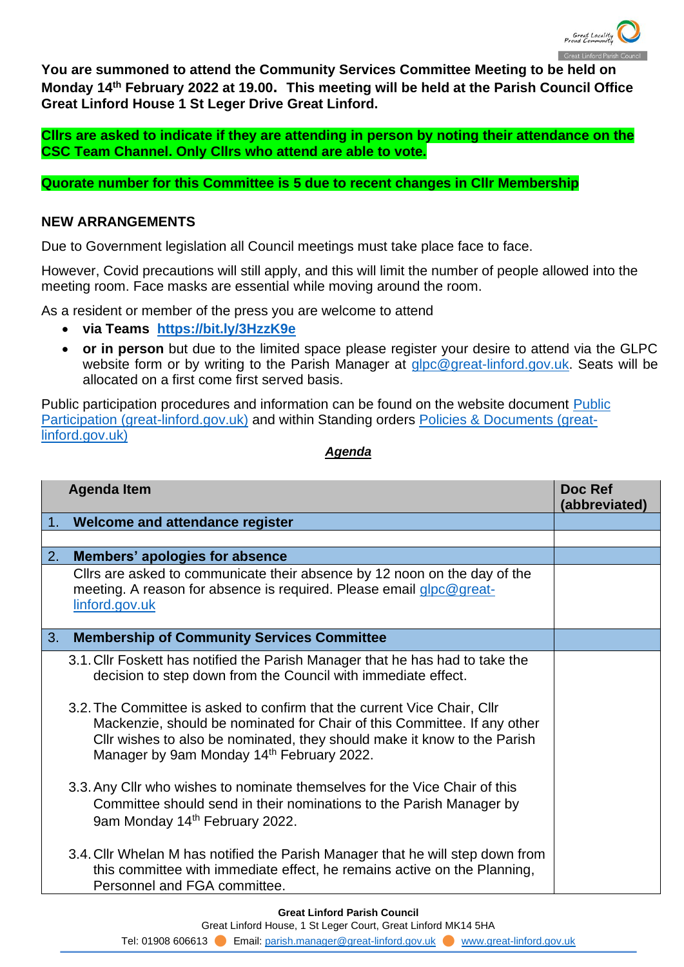

**You are summoned to attend the Community Services Committee Meeting to be held on Monday 14th February 2022 at 19.00. This meeting will be held at the Parish Council Office Great Linford House 1 St Leger Drive Great Linford.**

**Cllrs are asked to indicate if they are attending in person by noting their attendance on the CSC Team Channel. Only Cllrs who attend are able to vote.**

**Quorate number for this Committee is 5 due to recent changes in Cllr Membership**

## **NEW ARRANGEMENTS**

Due to Government legislation all Council meetings must take place face to face.

However, Covid precautions will still apply, and this will limit the number of people allowed into the meeting room. Face masks are essential while moving around the room.

As a resident or member of the press you are welcome to attend

- **via Teams <https://bit.ly/3HzzK9e>**
- **or in person** but due to the limited space please register your desire to attend via the GLPC website form or by writing to the Parish Manager at [glpc@great-linford.gov.uk.](mailto:glpc@great-linford.gov.uk) Seats will be allocated on a first come first served basis.

Public participation procedures and information can be found on the website document [Public](https://www.great-linford.gov.uk/council-meetings/public-participation/)  [Participation \(great-linford.gov.uk\)](https://www.great-linford.gov.uk/council-meetings/public-participation/) and within Standing orders [Policies & Documents \(great](https://www.great-linford.gov.uk/the-parish-council/policies-documents/)[linford.gov.uk\)](https://www.great-linford.gov.uk/the-parish-council/policies-documents/)

## *Agenda*

|                | <b>Agenda Item</b>                                                                                                                                                                                                                                                                                                                                                                                                                                                                                                                                                                   | Doc Ref<br>(abbreviated) |
|----------------|--------------------------------------------------------------------------------------------------------------------------------------------------------------------------------------------------------------------------------------------------------------------------------------------------------------------------------------------------------------------------------------------------------------------------------------------------------------------------------------------------------------------------------------------------------------------------------------|--------------------------|
| 1 <sub>1</sub> | Welcome and attendance register                                                                                                                                                                                                                                                                                                                                                                                                                                                                                                                                                      |                          |
|                |                                                                                                                                                                                                                                                                                                                                                                                                                                                                                                                                                                                      |                          |
| 2.             | <b>Members' apologies for absence</b>                                                                                                                                                                                                                                                                                                                                                                                                                                                                                                                                                |                          |
|                | Clirs are asked to communicate their absence by 12 noon on the day of the<br>meeting. A reason for absence is required. Please email glpc@great-<br>linford.gov.uk                                                                                                                                                                                                                                                                                                                                                                                                                   |                          |
| 3.             | <b>Membership of Community Services Committee</b>                                                                                                                                                                                                                                                                                                                                                                                                                                                                                                                                    |                          |
|                | 3.1. Cllr Foskett has notified the Parish Manager that he has had to take the<br>decision to step down from the Council with immediate effect.<br>3.2. The Committee is asked to confirm that the current Vice Chair, Cllr<br>Mackenzie, should be nominated for Chair of this Committee. If any other<br>Cllr wishes to also be nominated, they should make it know to the Parish<br>Manager by 9am Monday 14th February 2022.<br>3.3. Any Cllr who wishes to nominate themselves for the Vice Chair of this<br>Committee should send in their nominations to the Parish Manager by |                          |
|                | 9am Monday 14th February 2022.<br>3.4. Cllr Whelan M has notified the Parish Manager that he will step down from<br>this committee with immediate effect, he remains active on the Planning,<br>Personnel and FGA committee.                                                                                                                                                                                                                                                                                                                                                         |                          |